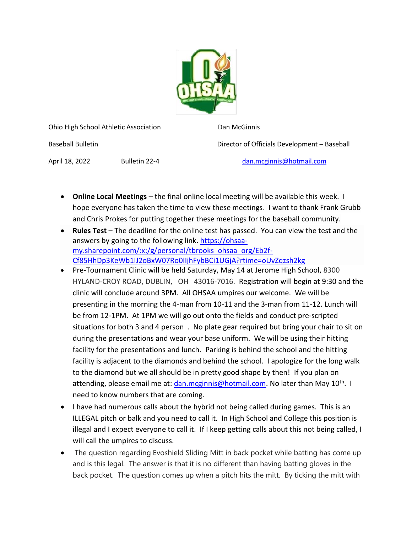

Ohio High School Athletic Association Dan McGinnis

Baseball Bulletin Director of Officials Development – Baseball

April 18, 2022 Bulletin 22-4 [dan.mcginnis@hotmail.com](mailto:dan.mcginnis@hotmail.com)

- **Online Local Meetings** the final online local meeting will be available this week. I hope everyone has taken the time to view these meetings. I want to thank Frank Grubb and Chris Prokes for putting together these meetings for the baseball community.
- **Rules Test –** The deadline for the online test has passed. You can view the test and the answers by going to the following link. [https://ohsaa](https://ohsaa-my.sharepoint.com/:x:/g/personal/tbrooks_ohsaa_org/Eb2f-Cf85HhDp3KeWb1IJ2oBxW07Ro0IIjhFybBCi1UGjA?rtime=oUvZqzsh2kg)[my.sharepoint.com/:x:/g/personal/tbrooks\\_ohsaa\\_org/Eb2f-](https://ohsaa-my.sharepoint.com/:x:/g/personal/tbrooks_ohsaa_org/Eb2f-Cf85HhDp3KeWb1IJ2oBxW07Ro0IIjhFybBCi1UGjA?rtime=oUvZqzsh2kg)[Cf85HhDp3KeWb1IJ2oBxW07Ro0IIjhFybBCi1UGjA?rtime=oUvZqzsh2kg](https://ohsaa-my.sharepoint.com/:x:/g/personal/tbrooks_ohsaa_org/Eb2f-Cf85HhDp3KeWb1IJ2oBxW07Ro0IIjhFybBCi1UGjA?rtime=oUvZqzsh2kg)
- Pre-Tournament Clinic will be held Saturday, May 14 at Jerome High School, 8300 HYLAND-CROY ROAD, DUBLIN, OH 43016-7016. Registration will begin at 9:30 and the clinic will conclude around 3PM. All OHSAA umpires our welcome. We will be presenting in the morning the 4-man from 10-11 and the 3-man from 11-12. Lunch will be from 12-1PM. At 1PM we will go out onto the fields and conduct pre-scripted situations for both 3 and 4 person . No plate gear required but bring your chair to sit on during the presentations and wear your base uniform. We will be using their hitting facility for the presentations and lunch. Parking is behind the school and the hitting facility is adjacent to the diamonds and behind the school. I apologize for the long walk to the diamond but we all should be in pretty good shape by then! If you plan on attending, please email me at: *dan.mcginnis@hotmail.com*. No later than May 10<sup>th</sup>. I need to know numbers that are coming.
- I have had numerous calls about the hybrid not being called during games. This is an ILLEGAL pitch or balk and you need to call it. In High School and College this position is illegal and I expect everyone to call it. If I keep getting calls about this not being called, I will call the umpires to discuss.
- The question regarding Evoshield Sliding Mitt in back pocket while batting has come up and is this legal. The answer is that it is no different than having batting gloves in the back pocket. The question comes up when a pitch hits the mitt. By ticking the mitt with